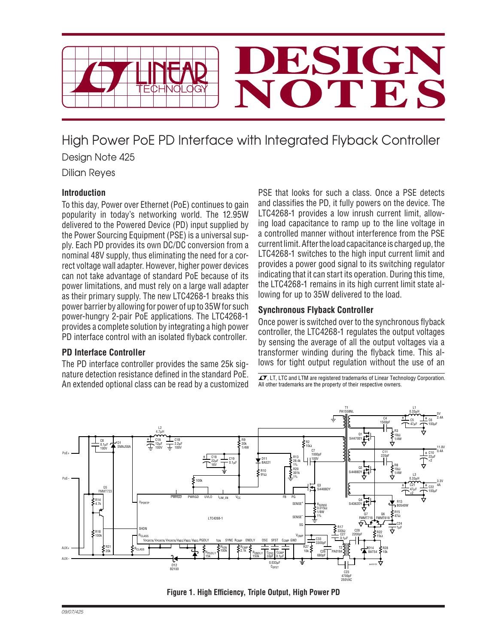

High Power PoE PD Interface with Integrated Flyback Controller

Design Note 425

Dilian Reyes

## **Introduction**

To this day, Power over Ethernet (PoE) continues to gain popularity in today's networking world. The 12.95W delivered to the Powered Device (PD) input supplied by the Power Sourcing Equipment (PSE) is a universal supply. Each PD provides its own DC/DC conversion from a nominal 48V supply, thus eliminating the need for a correct voltage wall adapter. However, higher power devices can not take advantage of standard PoE because of its power limitations, and must rely on a large wall adapter as their primary supply. The new LTC4268-1 breaks this power barrier by allowing for power of up to 35W for such power-hungry 2-pair PoE applications. The LTC4268-1 provides a complete solution by integrating a high power PD interface control with an isolated flyback controller.

## **PD Interface Controller**

The PD interface controller provides the same 25k signature detection resistance defined in the standard PoE. An extended optional class can be read by a customized

PSE that looks for such a class. Once a PSE detects and classifies the PD, it fully powers on the device. The LTC4268-1 provides a low inrush current limit, allowing load capacitance to ramp up to the line voltage in a controlled manner without interference from the PSE current limit. After the load capacitance is charged up, the LTC4268-1 switches to the high input current limit and provides a power good signal to its switching regulator indicating that it can start its operation. During this time, the LTC4268-1 remains in its high current limit state allowing for up to 35W delivered to the load.

## **Synchronous Flyback Controller**

Once power is switched over to the synchronous flyback controller, the LTC4268-1 regulates the output voltages by sensing the average of all the output voltages via a transformer winding during the flyback time. This allows for tight output regulation without the use of an

 $\overline{\mathcal{A}}$ , LT, LTC and LTM are registered trademarks of Linear Technology Corporation. All other trademarks are the property of their respective owners.